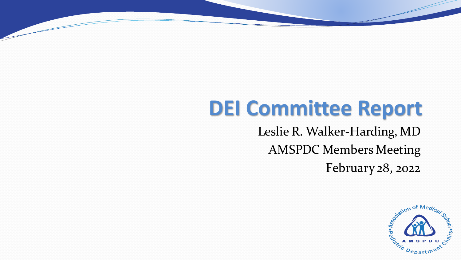### **DEI Committee Report**

Leslie R. Walker-Harding, MD AMSPDC Members Meeting February 28, 2022

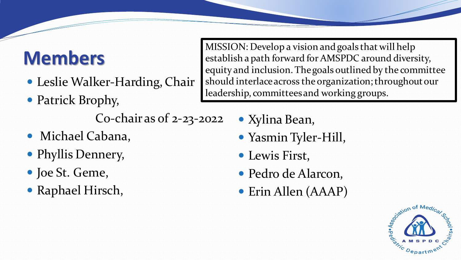#### **Members**

- Leslie Walker-Harding, Chair
- Patrick Brophy,

Co-chair as of 2-23-2022

- Michael Cabana,
- Phyllis Dennery,
- Joe St. Geme,
- Raphael Hirsch,

MISSION: Develop a vision and goals that will help establish a path forward for AMSPDC around diversity, equity and inclusion. The goals outlined by the committee should interlace across the organization; throughout our leadership, committees and working groups.

- Xylina Bean,
- Yasmin Tyler-Hill,
- Lewis First,
- Pedro de Alarcon,
- Erin Allen (AAAP)

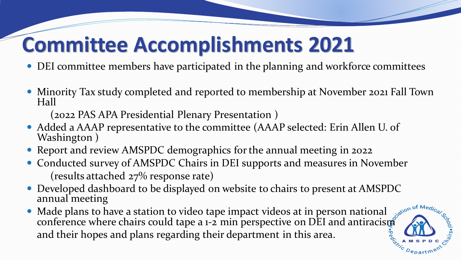#### **Committee Accomplishments 2021**

- DEI committee members have participated in the planning and workforce committees
- Minority Tax study completed and reported to membership at November 2021 Fall Town Hall

(2022 PAS APA Presidential Plenary Presentation )

- Added a AAAP representative to the committee (AAAP selected: Erin Allen U. of Washington )
- Report and review AMSPDC demographics for the annual meeting in 2022
- Conducted survey of AMSPDC Chairs in DEI supports and measures in November (results attached 27% response rate)
- Developed dashboard to be displayed on website to chairs to present at AMSPDC annual meeting
- Made plans to have a station to video tape impact videos at in person national conference where chairs could tape a  $1-2$  min perspective on DEI and antiracism and their hopes and plans regarding their department in this area.

 $D_{\scriptstyle{\mathbf{epart}}}$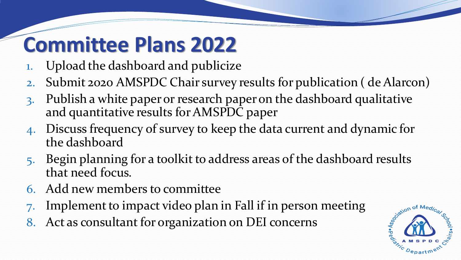### **Committee Plans 2022**

- 1. Upload the dashboard and publicize
- 2. Submit 2020 AMSPDC Chair survey results for publication ( de Alarcon)
- 3. Publish a white paper or research paper on the dashboard qualitative and quantitative results for AMSPDC paper
- 4. Discuss frequency of survey to keep the data current and dynamic for the dashboard
- 5. Begin planning for a toolkit to address areas of the dashboard results that need focus.
- 6. Add new members to committee
- Implement to impact video plan in Fall if in person meeting
- 8. Act as consultant for organization on DEI concerns

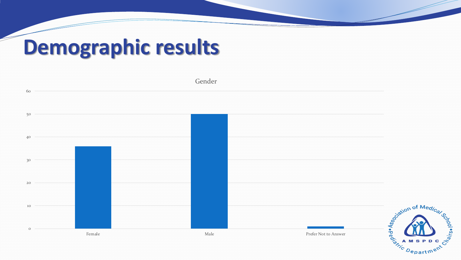# **Demographic results**

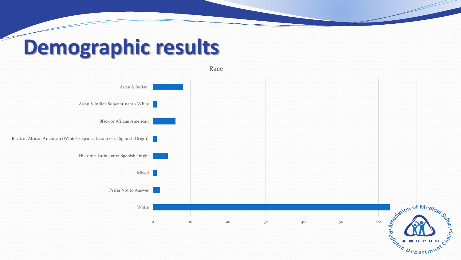## **Demographic results**